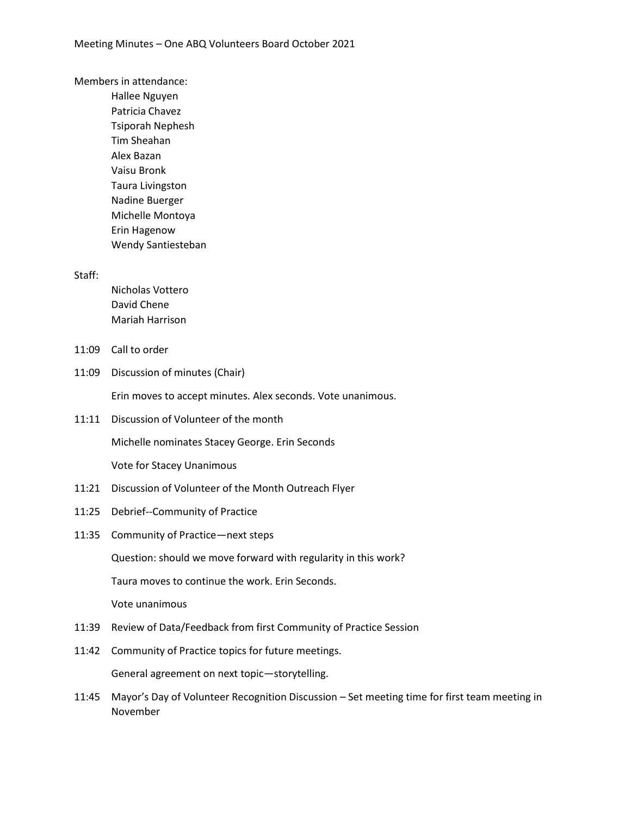Members in attendance:

Hallee Nguyen Patricia Chavez Tsiporah Nephesh Tim Sheahan Alex Bazan Vaisu Bronk Taura Livingston Nadine Buerger Michelle Montoya Erin Hagenow Wendy Santiesteban

Staff:

Nicholas Vottero David Chene Mariah Harrison

- 11:09 Call to order
- 11:09 Discussion of minutes (Chair)

Erin moves to accept minutes. Alex seconds. Vote unanimous.

11:11 Discussion of Volunteer of the month

Michelle nominates Stacey George. Erin Seconds

Vote for Stacey Unanimous

- 11:21 Discussion of Volunteer of the Month Outreach Flyer
- 11:25 Debrief--Community of Practice
- 11:35 Community of Practice—next steps

Question: should we move forward with regularity in this work?

Taura moves to continue the work. Erin Seconds.

Vote unanimous

- 11:39 Review of Data/Feedback from first Community of Practice Session
- 11:42 Community of Practice topics for future meetings. General agreement on next topic—storytelling.
- 11:45 Mayor's Day of Volunteer Recognition Discussion Set meeting time for first team meeting in November